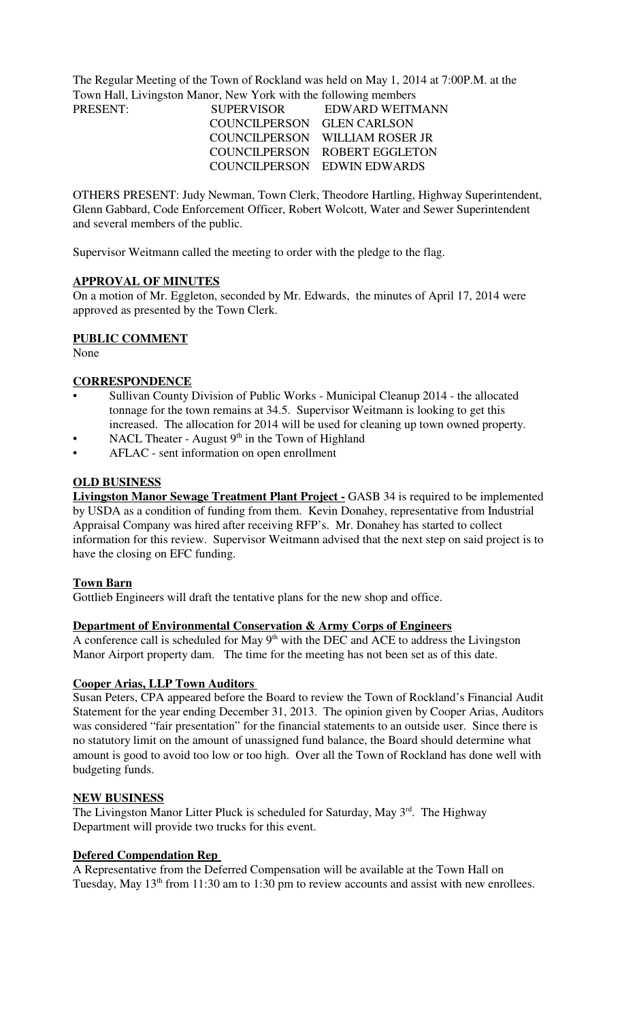The Regular Meeting of the Town of Rockland was held on May 1, 2014 at 7:00P.M. at the Town Hall, Livingston Manor, New York with the following members

| <b>SUPERVISOR</b> | EDWARD WEITMANN                |
|-------------------|--------------------------------|
|                   |                                |
|                   | COUNCILPERSON WILLIAM ROSER JR |
|                   | COUNCILPERSON ROBERT EGGLETON  |
|                   | COUNCILPERSON EDWIN EDWARDS    |
|                   | COUNCILPERSON GLEN CARLSON     |

OTHERS PRESENT: Judy Newman, Town Clerk, Theodore Hartling, Highway Superintendent, Glenn Gabbard, Code Enforcement Officer, Robert Wolcott, Water and Sewer Superintendent and several members of the public.

Supervisor Weitmann called the meeting to order with the pledge to the flag.

## **APPROVAL OF MINUTES**

On a motion of Mr. Eggleton, seconded by Mr. Edwards, the minutes of April 17, 2014 were approved as presented by the Town Clerk.

## **PUBLIC COMMENT**

None

## **CORRESPONDENCE**

- Sullivan County Division of Public Works Municipal Cleanup 2014 the allocated tonnage for the town remains at 34.5. Supervisor Weitmann is looking to get this increased. The allocation for 2014 will be used for cleaning up town owned property.
- NACL Theater August  $9<sup>th</sup>$  in the Town of Highland
- AFLAC sent information on open enrollment

## **OLD BUSINESS**

**Livingston Manor Sewage Treatment Plant Project -** GASB 34 is required to be implemented by USDA as a condition of funding from them. Kevin Donahey, representative from Industrial Appraisal Company was hired after receiving RFP's. Mr. Donahey has started to collect information for this review. Supervisor Weitmann advised that the next step on said project is to have the closing on EFC funding.

## **Town Barn**

Gottlieb Engineers will draft the tentative plans for the new shop and office.

## **Department of Environmental Conservation & Army Corps of Engineers**

A conference call is scheduled for May  $9<sup>th</sup>$  with the DEC and ACE to address the Livingston Manor Airport property dam. The time for the meeting has not been set as of this date.

## **Cooper Arias, LLP Town Auditors**

Susan Peters, CPA appeared before the Board to review the Town of Rockland's Financial Audit Statement for the year ending December 31, 2013. The opinion given by Cooper Arias, Auditors was considered "fair presentation" for the financial statements to an outside user. Since there is no statutory limit on the amount of unassigned fund balance, the Board should determine what amount is good to avoid too low or too high. Over all the Town of Rockland has done well with budgeting funds.

## **NEW BUSINESS**

The Livingston Manor Litter Pluck is scheduled for Saturday, May 3<sup>rd</sup>. The Highway Department will provide two trucks for this event.

## **Defered Compendation Rep**

A Representative from the Deferred Compensation will be available at the Town Hall on Tuesday, May 13<sup>th</sup> from 11:30 am to 1:30 pm to review accounts and assist with new enrollees.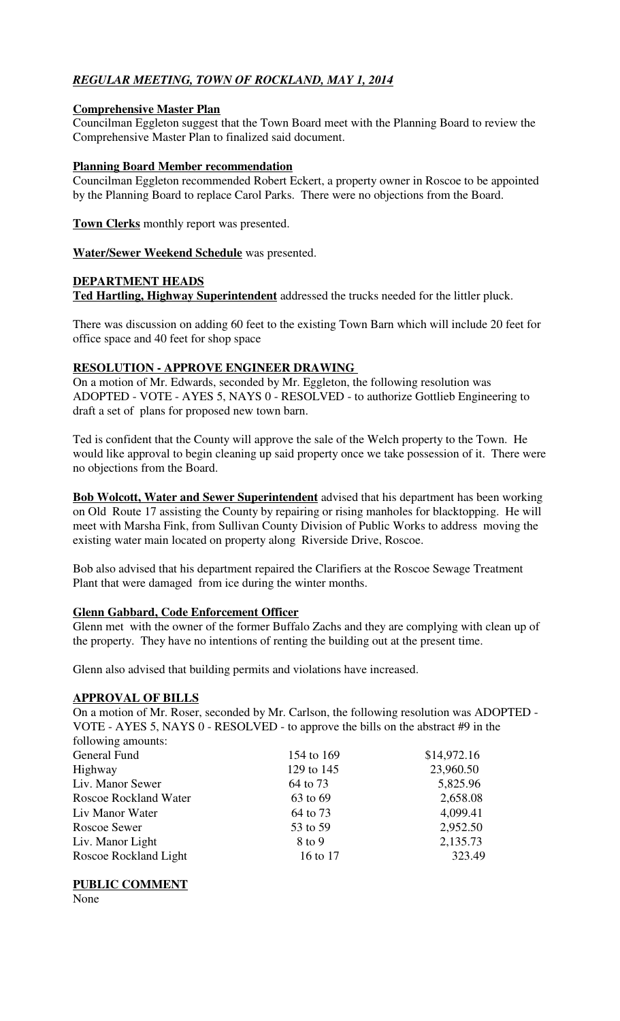# *REGULAR MEETING, TOWN OF ROCKLAND, MAY 1, 2014*

## **Comprehensive Master Plan**

Councilman Eggleton suggest that the Town Board meet with the Planning Board to review the Comprehensive Master Plan to finalized said document.

## **Planning Board Member recommendation**

Councilman Eggleton recommended Robert Eckert, a property owner in Roscoe to be appointed by the Planning Board to replace Carol Parks. There were no objections from the Board.

**Town Clerks** monthly report was presented.

**Water/Sewer Weekend Schedule** was presented.

## **DEPARTMENT HEADS Ted Hartling, Highway Superintendent** addressed the trucks needed for the littler pluck.

There was discussion on adding 60 feet to the existing Town Barn which will include 20 feet for office space and 40 feet for shop space

## **RESOLUTION - APPROVE ENGINEER DRAWING**

On a motion of Mr. Edwards, seconded by Mr. Eggleton, the following resolution was ADOPTED - VOTE - AYES 5, NAYS 0 - RESOLVED - to authorize Gottlieb Engineering to draft a set of plans for proposed new town barn.

Ted is confident that the County will approve the sale of the Welch property to the Town. He would like approval to begin cleaning up said property once we take possession of it. There were no objections from the Board.

**Bob Wolcott, Water and Sewer Superintendent** advised that his department has been working on Old Route 17 assisting the County by repairing or rising manholes for blacktopping. He will meet with Marsha Fink, from Sullivan County Division of Public Works to address moving the existing water main located on property along Riverside Drive, Roscoe.

Bob also advised that his department repaired the Clarifiers at the Roscoe Sewage Treatment Plant that were damaged from ice during the winter months.

## **Glenn Gabbard, Code Enforcement Officer**

Glenn met with the owner of the former Buffalo Zachs and they are complying with clean up of the property. They have no intentions of renting the building out at the present time.

Glenn also advised that building permits and violations have increased.

## **APPROVAL OF BILLS**

On a motion of Mr. Roser, seconded by Mr. Carlson, the following resolution was ADOPTED - VOTE - AYES 5, NAYS 0 - RESOLVED - to approve the bills on the abstract #9 in the following amounts:

| $10110 + 1117$               |            |             |
|------------------------------|------------|-------------|
| General Fund                 | 154 to 169 | \$14,972.16 |
| Highway                      | 129 to 145 | 23,960.50   |
| Liv. Manor Sewer             | 64 to 73   | 5,825.96    |
| <b>Roscoe Rockland Water</b> | 63 to 69   | 2,658.08    |
| Liv Manor Water              | 64 to 73   | 4,099.41    |
| Roscoe Sewer                 | 53 to 59   | 2,952.50    |
| Liv. Manor Light             | 8 to 9     | 2,135.73    |
| Roscoe Rockland Light        | 16 to 17   | 323.49      |
|                              |            |             |

## **PUBLIC COMMENT**

None